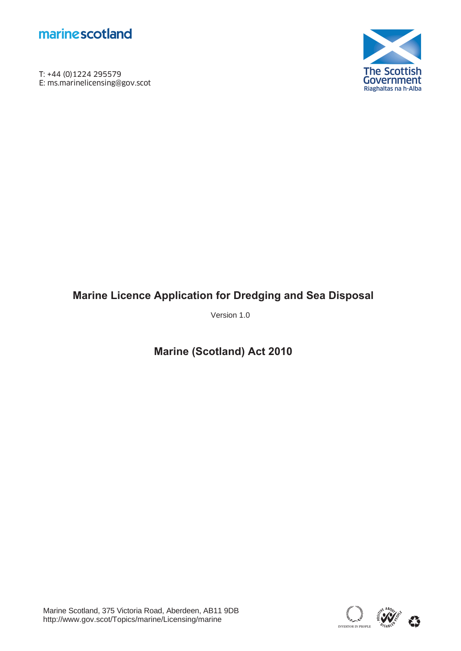

T: +44 (0)1224 295579<br>E: ms.marinelicensing@gov.scot **marine scotland**<br>T: +44 (0)1224 295579<br>E: ms.marinelicensing@gov.scot



# **Marine Licence Application for Dredging and Sea Disposal**

Version 1.0

**Marine (Scotland) Act 2010** 

Marine Scotland, 375 Victoria Road, Aberdeen, AB11 9DB http://www.gov.scot/Topics/marine/Licensing/marine

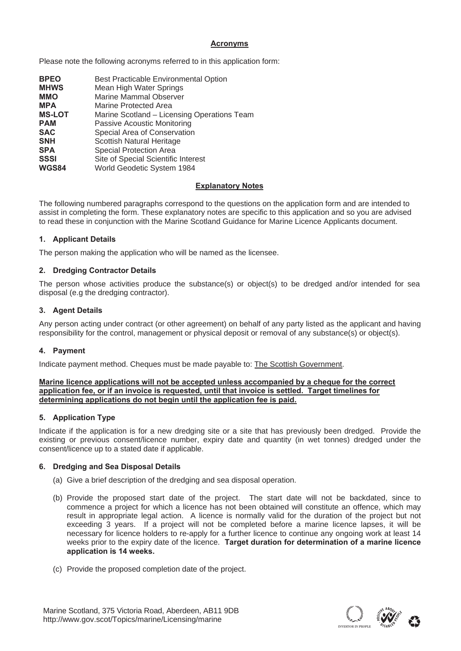# **Acronyms**

Please note the following acronyms referred to in this application form:

| <b>BPEO</b>   | Best Practicable Environmental Option       |
|---------------|---------------------------------------------|
| <b>MHWS</b>   | Mean High Water Springs                     |
| <b>MMO</b>    | <b>Marine Mammal Observer</b>               |
| <b>MPA</b>    | Marine Protected Area                       |
| <b>MS-LOT</b> | Marine Scotland - Licensing Operations Team |
| <b>PAM</b>    | Passive Acoustic Monitoring                 |
| <b>SAC</b>    | Special Area of Conservation                |
| <b>SNH</b>    | Scottish Natural Heritage                   |
| <b>SPA</b>    | <b>Special Protection Area</b>              |
| <b>SSSI</b>   | Site of Special Scientific Interest         |
| <b>WGS84</b>  | World Geodetic System 1984                  |

# **Explanatory Notes**

The following numbered paragraphs correspond to the questions on the application form and are intended to assist in completing the form. These explanatory notes are specific to this application and so you are advised to read these in conjunction with the Marine Scotland Guidance for Marine Licence Applicants document.

# **1. Applicant Details**

The person making the application who will be named as the licensee.

# **2. Dredging Contractor Details**

The person whose activities produce the substance(s) or object(s) to be dredged and/or intended for sea disposal (e.g the dredging contractor).

# **3. Agent Details**

Any person acting under contract (or other agreement) on behalf of any party listed as the applicant and having responsibility for the control, management or physical deposit or removal of any substance(s) or object(s).

# **4. Payment**

Indicate payment method. Cheques must be made payable to: The Scottish Government.

#### **Marine licence applications will not be accepted unless accompanied by a cheque for the correct application fee, or if an invoice is requested, until that invoice is settled. Target timelines for determining applications do not begin until the application fee is paid.**

# **5. Application Type**

Indicate if the application is for a new dredging site or a site that has previously been dredged. Provide the existing or previous consent/licence number, expiry date and quantity (in wet tonnes) dredged under the consent/licence up to a stated date if applicable.

# **6. Dredging and Sea Disposal Details**

- (a) Give a brief description of the dredging and sea disposal operation.
- (b) Provide the proposed start date of the project. The start date will not be backdated, since to commence a project for which a licence has not been obtained will constitute an offence, which may result in appropriate legal action. A licence is normally valid for the duration of the project but not exceeding 3 years. If a project will not be completed before a marine licence lapses, it will be necessary for licence holders to re-apply for a further licence to continue any ongoing work at least 14 weeks prior to the expiry date of the licence. **Target duration for determination of a marine licence application is 14 weeks.**
- (c) Provide the proposed completion date of the project.

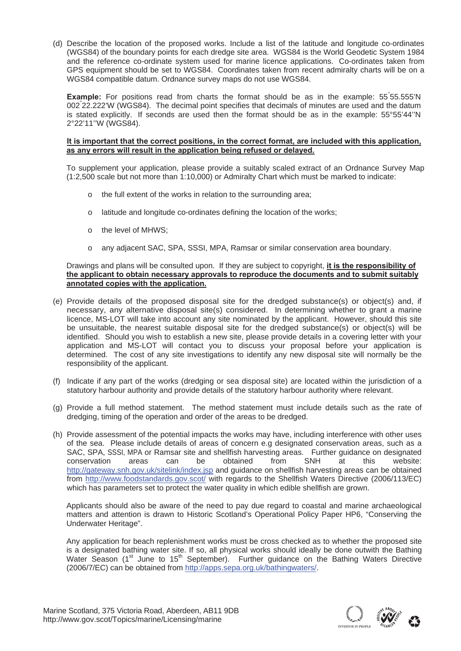(d) Describe the location of the proposed works. Include a list of the latitude and longitude co-ordinates (WGS84) of the boundary points for each dredge site area. WGS84 is the World Geodetic System 1984 and the reference co-ordinate system used for marine licence applications. Co-ordinates taken from GPS equipment should be set to WGS84. Coordinates taken from recent admiralty charts will be on a WGS84 compatible datum. Ordnance survey maps do not use WGS84.

Example: For positions read from charts the format should be as in the example: 55°55.555'N 002° 22.222'W (WGS84). The decimal point specifies that decimals of minutes are used and the datum is stated explicitly. If seconds are used then the format should be as in the example: 55°55'44''N 2°22'11''W (WGS84).

#### **It is important that the correct positions, in the correct format, are included with this application, as any errors will result in the application being refused or delayed.**

To supplement your application, please provide a suitably scaled extract of an Ordnance Survey Map (1:2,500 scale but not more than 1:10,000) or Admiralty Chart which must be marked to indicate:

- o the full extent of the works in relation to the surrounding area;
- o latitude and longitude co-ordinates defining the location of the works;
- o the level of MHWS;
- o any adjacent SAC, SPA, SSSI, MPA, Ramsar or similar conservation area boundary.

#### Drawings and plans will be consulted upon. If they are subject to copyright, **it is the responsibility of the applicant to obtain necessary approvals to reproduce the documents and to submit suitably annotated copies with the application.**

- (e) Provide details of the proposed disposal site for the dredged substance(s) or object(s) and, if necessary, any alternative disposal site(s) considered. In determining whether to grant a marine licence, MS-LOT will take into account any site nominated by the applicant. However, should this site be unsuitable, the nearest suitable disposal site for the dredged substance(s) or object(s) will be identified. Should you wish to establish a new site, please provide details in a covering letter with your application and MS-LOT will contact you to discuss your proposal before your application is determined. The cost of any site investigations to identify any new disposal site will normally be the responsibility of the applicant.
- (f) Indicate if any part of the works (dredging or sea disposal site) are located within the jurisdiction of a statutory harbour authority and provide details of the statutory harbour authority where relevant.
- (g) Provide a full method statement. The method statement must include details such as the rate of dredging, timing of the operation and order of the areas to be dredged.
- (h) Provide assessment of the potential impacts the works may have, including interference with other uses of the sea. Please include details of areas of concern e.g designated conservation areas, such as a SAC, SPA, SSSI, MPA or Ramsar site and shellfish harvesting areas. Further guidance on designated conservation areas can be obtained from SNH at this website: http://gateway.snh.gov.uk/sitelink/index.jsp and guidance on shellfish harvesting areas can be obtained from http://www.foodstandards.gov.scot/ with regards to the Shellfish Waters Directive (2006/113/EC) which has parameters set to protect the water quality in which edible shellfish are grown.

Applicants should also be aware of the need to pay due regard to coastal and marine archaeological matters and attention is drawn to Historic Scotland's Operational Policy Paper HP6, "Conserving the Underwater Heritage".

Any application for beach replenishment works must be cross checked as to whether the proposed site is a designated bathing water site. If so, all physical works should ideally be done outwith the Bathing Water Season (1<sup>st</sup> June to 15<sup>th</sup> September). Further guidance on the Bathing Waters Directive (2006/7/EC) can be obtained from http://apps.sepa.org.uk/bathingwaters/.

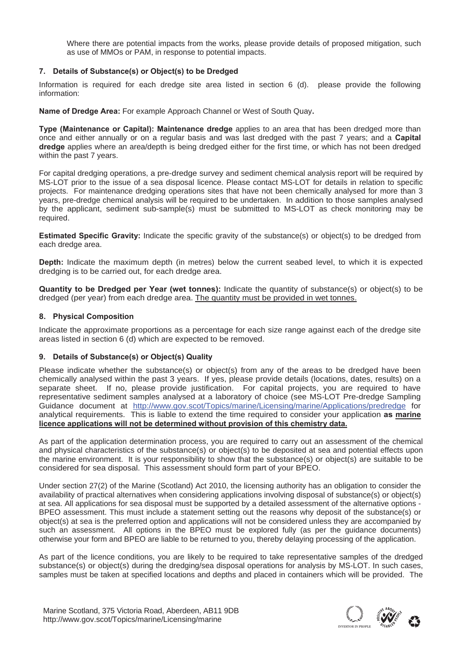Where there are potential impacts from the works, please provide details of proposed mitigation, such as use of MMOs or PAM, in response to potential impacts.

# **7. Details of Substance(s) or Object(s) to be Dredged**

Information is required for each dredge site area listed in section 6 (d). please provide the following information:

**Name of Dredge Area:** For example Approach Channel or West of South Quay**.**

**Type (Maintenance or Capital): Maintenance dredge** applies to an area that has been dredged more than once and either annually or on a regular basis and was last dredged with the past 7 years; and a **Capital dredge** applies where an area/depth is being dredged either for the first time, or which has not been dredged within the past 7 years.

For capital dredging operations, a pre-dredge survey and sediment chemical analysis report will be required by MS-LOT prior to the issue of a sea disposal licence. Please contact MS-LOT for details in relation to specific projects. For maintenance dredging operations sites that have not been chemically analysed for more than 3 years, pre-dredge chemical analysis will be required to be undertaken. In addition to those samples analysed by the applicant, sediment sub-sample(s) must be submitted to MS-LOT as check monitoring may be required.

**Estimated Specific Gravity:** Indicate the specific gravity of the substance(s) or object(s) to be dredged from each dredge area.

**Depth:** Indicate the maximum depth (in metres) below the current seabed level, to which it is expected dredging is to be carried out, for each dredge area.

**Quantity to be Dredged per Year (wet tonnes):** Indicate the quantity of substance(s) or object(s) to be dredged (per year) from each dredge area. The quantity must be provided in wet tonnes.

# **8. Physical Composition**

Indicate the approximate proportions as a percentage for each size range against each of the dredge site areas listed in section 6 (d) which are expected to be removed.

# **9. Details of Substance(s) or Object(s) Quality**

Please indicate whether the substance(s) or object(s) from any of the areas to be dredged have been chemically analysed within the past 3 years. If yes, please provide details (locations, dates, results) on a separate sheet. If no, please provide justification. For capital projects, you are required to have representative sediment samples analysed at a laboratory of choice (see MS-LOT Pre-dredge Sampling Guidance document at http://www.gov.scot/Topics/marine/Licensing/marine/Applications/predredge for analytical requirements. This is liable to extend the time required to consider your application **as marine licence applications will not be determined without provision of this chemistry data.** 

As part of the application determination process, you are required to carry out an assessment of the chemical and physical characteristics of the substance(s) or object(s) to be deposited at sea and potential effects upon the marine environment. It is your responsibility to show that the substance(s) or object(s) are suitable to be considered for sea disposal. This assessment should form part of your BPEO.

Under section 27(2) of the Marine (Scotland) Act 2010, the licensing authority has an obligation to consider the availability of practical alternatives when considering applications involving disposal of substance(s) or object(s) at sea. All applications for sea disposal must be supported by a detailed assessment of the alternative options - BPEO assessment. This must include a statement setting out the reasons why deposit of the substance(s) or object(s) at sea is the preferred option and applications will not be considered unless they are accompanied by such an assessment. All options in the BPEO must be explored fully (as per the guidance documents) otherwise your form and BPEO are liable to be returned to you, thereby delaying processing of the application.

As part of the licence conditions, you are likely to be required to take representative samples of the dredged substance(s) or object(s) during the dredging/sea disposal operations for analysis by MS-LOT. In such cases, samples must be taken at specified locations and depths and placed in containers which will be provided. The

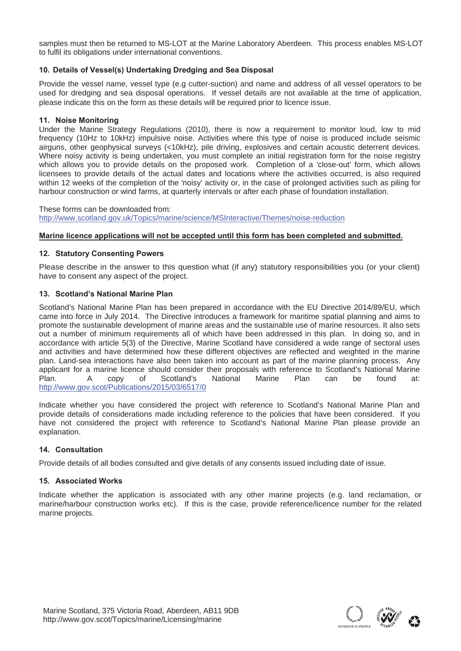samples must then be returned to MS-LOT at the Marine Laboratory Aberdeen. This process enables MS-LOT to fulfil its obligations under international conventions.

# **10. Details of Vessel(s) Undertaking Dredging and Sea Disposal**

Provide the vessel name, vessel type (e.g cutter-suction) and name and address of all vessel operators to be used for dredging and sea disposal operations. If vessel details are not available at the time of application, please indicate this on the form as these details will be required prior to licence issue.

# **11. Noise Monitoring**

Under the Marine Strategy Regulations (2010), there is now a requirement to monitor loud, low to mid frequency (10Hz to 10kHz) impulsive noise. Activities where this type of noise is produced include seismic airguns, other geophysical surveys (<10kHz), pile driving, explosives and certain acoustic deterrent devices. Where noisy activity is being undertaken, you must complete an initial registration form for the noise registry which allows you to provide details on the proposed work. Completion of a 'close-out' form, which allows licensees to provide details of the actual dates and locations where the activities occurred, is also required within 12 weeks of the completion of the 'noisy' activity or, in the case of prolonged activities such as piling for harbour construction or wind farms, at quarterly intervals or after each phase of foundation installation.

These forms can be downloaded from: http://www.scotland.gov.uk/Topics/marine/science/MSInteractive/Themes/noise-reduction

# **Marine licence applications will not be accepted until this form has been completed and submitted.**

# **12. Statutory Consenting Powers**

Please describe in the answer to this question what (if any) statutory responsibilities you (or your client) have to consent any aspect of the project.

# **13. Scotland's National Marine Plan**

Scotland's National Marine Plan has been prepared in accordance with the EU Directive 2014/89/EU, which came into force in July 2014. The Directive introduces a framework for maritime spatial planning and aims to promote the sustainable development of marine areas and the sustainable use of marine resources. It also sets out a number of minimum requirements all of which have been addressed in this plan. In doing so, and in accordance with article 5(3) of the Directive, Marine Scotland have considered a wide range of sectoral uses and activities and have determined how these different objectives are reflected and weighted in the marine plan. Land-sea interactions have also been taken into account as part of the marine planning process. Any applicant for a marine licence should consider their proposals with reference to Scotland's National Marine Plan. A copy of Scotland's National Marine Plan can be found at: http://www.gov.scot/Publications/2015/03/6517/0

Indicate whether you have considered the project with reference to Scotland's National Marine Plan and provide details of considerations made including reference to the policies that have been considered. If you have not considered the project with reference to Scotland's National Marine Plan please provide an explanation.

# **14. Consultation**

Provide details of all bodies consulted and give details of any consents issued including date of issue.

# **15. Associated Works**

Indicate whether the application is associated with any other marine projects (e.g. land reclamation, or marine/harbour construction works etc). If this is the case, provide reference/licence number for the related marine projects.

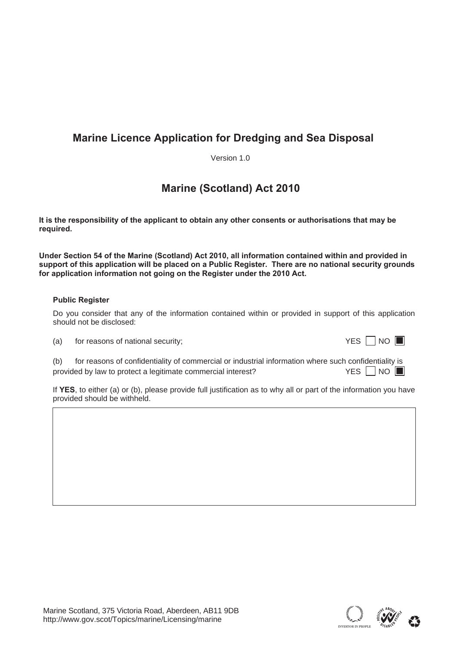# **Marine Licence Application for Dredging and Sea Disposal**

Version 1.0

# **Marine (Scotland) Act 2010**

**It is the responsibility of the applicant to obtain any other consents or authorisations that may be required.** 

**Under Section 54 of the Marine (Scotland) Act 2010, all information contained within and provided in support of this application will be placed on a Public Register. There are no national security grounds for application information not going on the Register under the 2010 Act.** 

# **Public Register**

Do you consider that any of the information contained within or provided in support of this application should not be disclosed:

 $(a)$  for reasons of national security;

| M. |  |  |
|----|--|--|
|----|--|--|

(b) for reasons of confidentiality of commercial or industrial information where such confidentiality is provided by law to protect a legitimate commercial interest?  $YES \Box NO$ 

If **YES**, to either (a) or (b), please provide full justification as to why all or part of the information you have provided should be withheld.

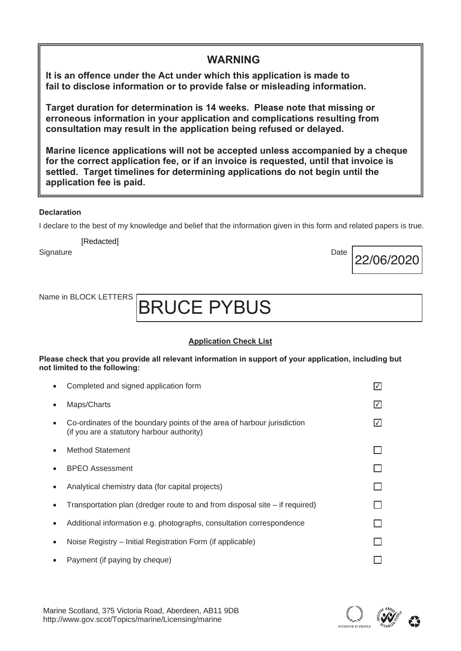**It is an offence under the Act under which this application is made to fail to disclose information or to provide false or misleading information.** 

**Target duration for determination is 14 weeks. Please note that missing or erroneous information in your application and complications resulting from consultation may result in the application being refused or delayed.** 

**Marine licence applications will not be accepted unless accompanied by a cheque for the correct application fee, or if an invoice is requested, until that invoice is settled. Target timelines for determining applications do not begin until the application fee is paid.** 

**WARNING**

# **Declaration**

I declare to the best of my knowledge and belief that the information given in this form and related papers is true.

**[Redacted]** 

Signature Date Date of the Date of the Date of the Date of the Date of the Date of the Date of the Date of the

# BRUCE PYBUS

# **Application Check List**

**Please check that you provide all relevant information in support of your application, including but not limited to the following:** 

| Completed and signed application form                                                                                 |     |
|-----------------------------------------------------------------------------------------------------------------------|-----|
| Maps/Charts                                                                                                           | I√I |
| Co-ordinates of the boundary points of the area of harbour jurisdiction<br>(if you are a statutory harbour authority) |     |
| <b>Method Statement</b>                                                                                               |     |
| <b>BPEO</b> Assessment                                                                                                |     |
| Analytical chemistry data (for capital projects)                                                                      |     |
| Transportation plan (dredger route to and from disposal site – if required)                                           |     |
| Additional information e.g. photographs, consultation correspondence                                                  |     |
| Noise Registry – Initial Registration Form (if applicable)                                                            |     |
| Payment (if paying by cheque)                                                                                         |     |
|                                                                                                                       |     |



22/06/2020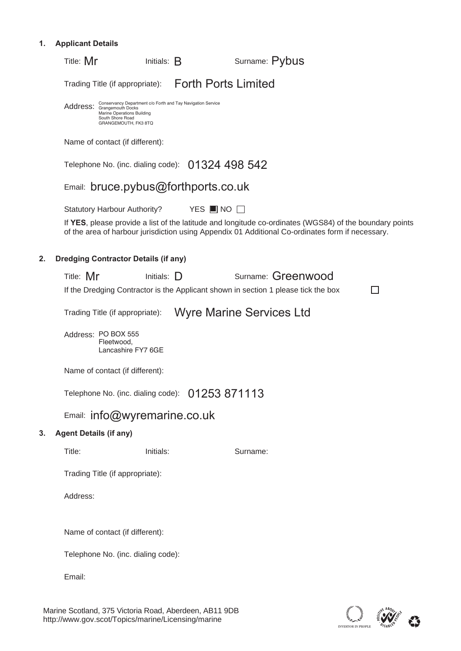# **1. Applicant Details**

|    | Surname: Pybus<br>Title: Mr<br>Initials: $B$                                                                                                                                                                |  |
|----|-------------------------------------------------------------------------------------------------------------------------------------------------------------------------------------------------------------|--|
|    | Trading Title (if appropriate): Forth Ports Limited                                                                                                                                                         |  |
|    | Conservancy Department c/o Forth and Tay Navigation Service<br>Address: Grangemouth Docks<br>Marine Operations Building<br>South Shore Road<br>GRANGEMOUTH, FK3 8TQ                                         |  |
|    | Name of contact (if different):                                                                                                                                                                             |  |
|    | Telephone No. (inc. dialing code): 01324 498 542                                                                                                                                                            |  |
|    | Email: bruce.pybus@forthports.co.uk                                                                                                                                                                         |  |
|    | <b>Statutory Harbour Authority?</b><br>YES $\blacksquare$ NO $\Box$                                                                                                                                         |  |
|    | If YES, please provide a list of the latitude and longitude co-ordinates (WGS84) of the boundary points<br>of the area of harbour jurisdiction using Appendix 01 Additional Co-ordinates form if necessary. |  |
| 2. | <b>Dredging Contractor Details (if any)</b>                                                                                                                                                                 |  |
|    | Surname: Greenwood<br>Title: Mr<br>Initials: $\Box$                                                                                                                                                         |  |
|    | If the Dredging Contractor is the Applicant shown in section 1 please tick the box                                                                                                                          |  |
|    | <b>Wyre Marine Services Ltd</b><br>Trading Title (if appropriate):                                                                                                                                          |  |
|    | Address: PO BOX 555<br>Fleetwood,<br>Lancashire FY7 6GE                                                                                                                                                     |  |
|    | Name of contact (if different):                                                                                                                                                                             |  |
|    | Telephone No. (inc. dialing code): 01253 871113                                                                                                                                                             |  |
|    | Email: info@wyremarine.co.uk                                                                                                                                                                                |  |
| 3. | <b>Agent Details (if any)</b>                                                                                                                                                                               |  |
|    | Title:<br>Initials:<br>Surname:                                                                                                                                                                             |  |
|    | Trading Title (if appropriate):                                                                                                                                                                             |  |
|    | Address:                                                                                                                                                                                                    |  |
|    | Name of contact (if different):                                                                                                                                                                             |  |
|    | Telephone No. (inc. dialing code):                                                                                                                                                                          |  |
|    | Email:                                                                                                                                                                                                      |  |
|    |                                                                                                                                                                                                             |  |

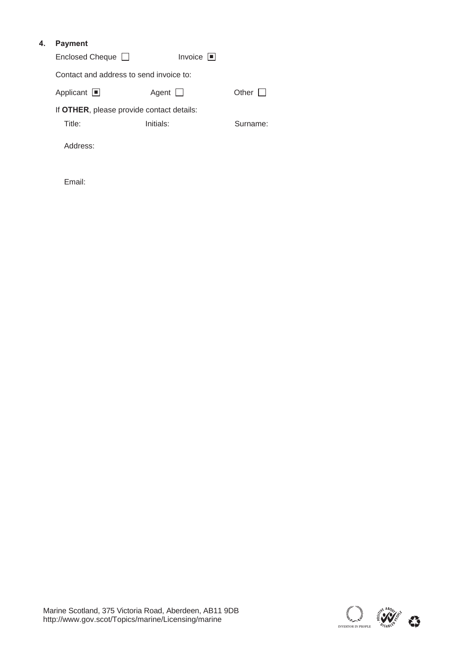# **4. Payment**

| Enclosed Cheque □ |  | Invoice $\blacksquare$ |
|-------------------|--|------------------------|
|-------------------|--|------------------------|

Contact and address to send invoice to:

| Applicant $\square$ | Agent $\Box$ | Other $\Box$ |
|---------------------|--------------|--------------|
|                     |              |              |

If **OTHER**, please provide contact details:

Title: Initials: Initials: Surname:

Address:

Email:

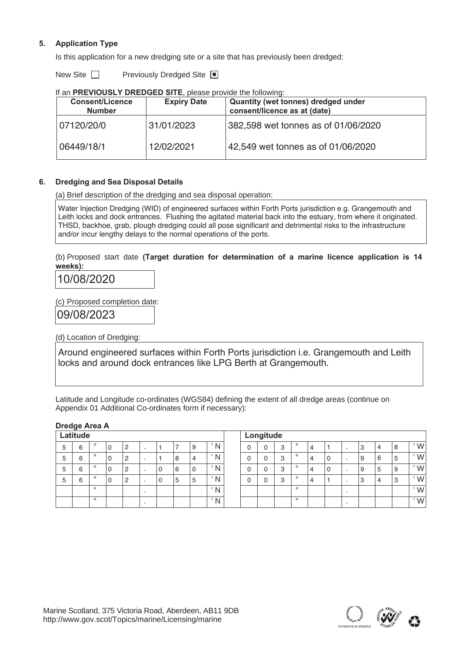# **5. Application Type**

Is this application for a new dredging site or a site that has previously been dredged:

New Site ■ Previously Dredged Site

| II GITT INLYTOUGLI DINLDULD UITL, DICASE DIUVIUS LIIS TUIIUWIITU. |                    |                                     |
|-------------------------------------------------------------------|--------------------|-------------------------------------|
| <b>Consent/Licence</b>                                            | <b>Expiry Date</b> | Quantity (wet tonnes) dredged under |
| <b>Number</b>                                                     |                    | consent/licence as at (date)        |
| 07120/20/0                                                        | 31/01/2023         | 382,598 wet tonnes as of 01/06/2020 |
| 06449/18/1                                                        | 12/02/2021         | 42,549 wet tonnes as of 01/06/2020  |

| If an PREVIOUSLY DREDGED SITE, please provide the following: |  |
|--------------------------------------------------------------|--|
|                                                              |  |

# **6. Dredging and Sea Disposal Details**

(a) Brief description of the dredging and sea disposal operation:

Water Injection Dredging (WID) of engineered surfaces within Forth Ports jurisdiction e.g. Grangemouth and Leith locks and dock entrances. Flushing the agitated material back into the estuary, from where it originated. THSD, backhoe, grab, plough dredging could all pose significant and detrimental risks to the infrastructure and/or incur lengthy delays to the normal operations of the ports.

(b) Proposed start date **(Target duration for determination of a marine licence application is 14 weeks):** 

10/08/2020

(c) Proposed completion date:

09/08/2023

(d) Location of Dredging:

Around engineered surfaces within Forth Ports jurisdiction i.e. Grangemouth and Leith locks and around dock entrances like LPG Berth at Grangemouth.

Latitude and Longitude co-ordinates (WGS84) defining the extent of all dredge areas (continue on Appendix 01 Additional Co-ordinates form if necessary):

| Latitude |        |         |  |                |  |   |    |   |              |   | Longitude |   |         |   |   |              |   |    |               |
|----------|--------|---------|--|----------------|--|---|----|---|--------------|---|-----------|---|---------|---|---|--------------|---|----|---------------|
| 5        | 6      | $\circ$ |  | 2              |  |   |    | 9 | N            | 0 | 0         | 3 | $\circ$ | 4 |   | C<br>د       | 4 | 8  | W             |
| 5        | ⌒<br>h | $\circ$ |  | 2              |  |   | 8  | 4 | N            |   | 0         | 3 | $\circ$ | 4 | U | 9            | 6 | .5 | W             |
| b        | 6      | $\circ$ |  | $\overline{2}$ |  | υ | 16 | 0 | $\mathsf{N}$ |   | 0         | 3 | $\circ$ | 4 | O | 9            | 5 | 9  | W             |
| 5        | 6      | $\circ$ |  | $\overline{c}$ |  | U | 5  | 5 | N            |   | 0         | 3 | $\circ$ | 4 |   | $\circ$<br>د | 4 | 3  | W             |
|          |        | $\circ$ |  |                |  |   |    |   | $\mathsf{N}$ |   |           |   | $\circ$ |   |   |              |   |    | $^{\prime}$ W |
|          |        | $\circ$ |  |                |  |   |    |   | $\mathsf{N}$ |   |           |   | $\circ$ |   |   |              |   |    | $^{\prime}$ W |

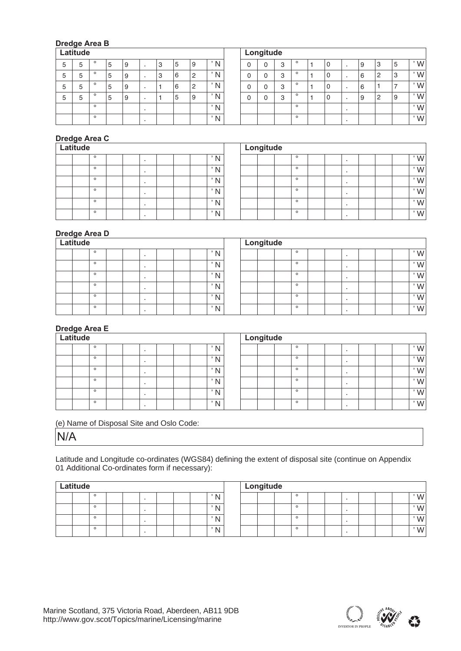# **Dredge Area B**

| Latitude |    |         |   |   |  |        |   |               |    |  | Longitude |   |         |  |   |        |          |           |
|----------|----|---------|---|---|--|--------|---|---------------|----|--|-----------|---|---------|--|---|--------|----------|-----------|
| 5        | ∽  | $\circ$ | b | 9 |  | ۰J     | 5 | 9             | N  |  | 0         | 3 | $\circ$ |  | 9 | З      | 15       | $\cdot w$ |
| 5        | 5  | $\circ$ | C | 9 |  | c<br>5 | 6 | $^{\prime}$ 2 | N  |  | 0         | 3 | $\circ$ |  | 6 | ⊂      | 3        | $\cdot w$ |
| 5        | ۰. | $\circ$ |   | 9 |  |        | 6 | $^{\prime}$ 2 | N. |  | 0         | 3 | $\circ$ |  | 6 |        |          | $\cdot w$ |
| b        | 5  | $\circ$ | b | 9 |  |        | 5 | 9             | N. |  | 0         | 3 | $\circ$ |  | 9 | C<br>∼ | <b>9</b> | $\cdot w$ |
|          |    | $\circ$ |   |   |  |        |   |               | N  |  |           |   | $\circ$ |  |   |        |          | $\cdot w$ |
|          |    | $\circ$ |   |   |  |        |   |               | N. |  |           |   | $\circ$ |  |   |        |          | $\cdot w$ |

# **Dredge Area C**

| Latitude |         |  |  |  |              |  | Longitude |         |  |  |               |
|----------|---------|--|--|--|--------------|--|-----------|---------|--|--|---------------|
|          | $\circ$ |  |  |  | N            |  |           | $\circ$ |  |  | $^{\prime}$ W |
|          | $\circ$ |  |  |  | N<br>. .     |  |           | $\circ$ |  |  | $^{\prime}$ W |
|          | $\circ$ |  |  |  | N            |  |           | $\circ$ |  |  | $\cdot w$     |
|          | $\circ$ |  |  |  | $\mathbb{N}$ |  |           | $\circ$ |  |  | $^{\prime}$ W |
|          | $\circ$ |  |  |  | $\mathbb N$  |  |           | $\circ$ |  |  | $^{\prime}$ W |
|          | $\circ$ |  |  |  | N            |  |           | $\circ$ |  |  | $^{\prime}$ W |

# **Dredge Area D**

| Latitude |         |  |  |  |  |  |  |               | Longitude |  |         |  |  |  |                |
|----------|---------|--|--|--|--|--|--|---------------|-----------|--|---------|--|--|--|----------------|
|          | $\circ$ |  |  |  |  |  |  | N.            |           |  | $\circ$ |  |  |  | , $\mathsf{M}$ |
|          | $\circ$ |  |  |  |  |  |  | N             |           |  | $\circ$ |  |  |  | $^{\prime}$ W  |
|          | $\circ$ |  |  |  |  |  |  | $^{\prime}$ N |           |  | $\circ$ |  |  |  | $^{\prime}$ W  |
|          | $\circ$ |  |  |  |  |  |  | N             |           |  | $\circ$ |  |  |  | $^{\prime}$ W  |
|          | $\circ$ |  |  |  |  |  |  | $\mathsf{N}$  |           |  | $\circ$ |  |  |  | $^{\prime}$ W  |
|          | $\circ$ |  |  |  |  |  |  | N             |           |  | $\circ$ |  |  |  | , $\mathsf{M}$ |

# **Dredge Area E**

| Latitude |         |  |  |  |  |  |  |              | Longitude |  |         |  |  |  |               |
|----------|---------|--|--|--|--|--|--|--------------|-----------|--|---------|--|--|--|---------------|
|          | $\circ$ |  |  |  |  |  |  | N            |           |  | $\circ$ |  |  |  | $^{\prime}$ W |
|          | $\circ$ |  |  |  |  |  |  | N            |           |  | $\circ$ |  |  |  | $^{\prime}$ W |
|          | $\circ$ |  |  |  |  |  |  | N            |           |  | $\circ$ |  |  |  | $^{\prime}$ W |
|          | $\circ$ |  |  |  |  |  |  | $\mathsf{N}$ |           |  | $\circ$ |  |  |  | $^{\prime}$ W |
|          | $\circ$ |  |  |  |  |  |  | N            |           |  | $\circ$ |  |  |  | $^{\prime}$ W |
|          | $\circ$ |  |  |  |  |  |  | $\mathsf{N}$ |           |  | $\circ$ |  |  |  | $^{\prime}$ W |

(e) Name of Disposal Site and Oslo Code:

N/A

Latitude and Longitude co-ordinates (WGS84) defining the extent of disposal site (continue on Appendix 01 Additional Co-ordinates form if necessary):

| Latitude |         |  |  |  |  |  |  |              | Longitude |  |         |  |  |  |               |
|----------|---------|--|--|--|--|--|--|--------------|-----------|--|---------|--|--|--|---------------|
|          | $\circ$ |  |  |  |  |  |  | $\mathbf{N}$ |           |  | $\circ$ |  |  |  | W             |
|          | $\circ$ |  |  |  |  |  |  | $\mathbf{N}$ |           |  | $\circ$ |  |  |  | $^{\prime}$ W |
|          | $\circ$ |  |  |  |  |  |  | $\mathbf{M}$ |           |  | $\circ$ |  |  |  | $W^{\prime}$  |
|          | $\circ$ |  |  |  |  |  |  | $\mathbf{N}$ |           |  | $\circ$ |  |  |  | $^{\prime}$ W |

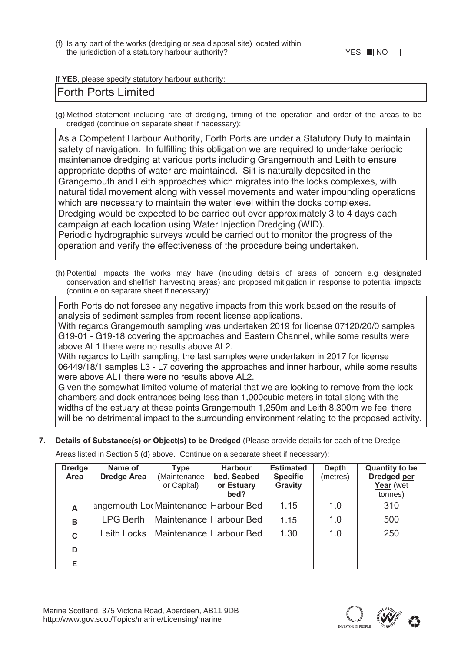(f) Is any part of the works (dredging or sea disposal site) located within the jurisdiction of a statutory harbour authority?

# If **YES**, please specify statutory harbour authority:

# Forth Ports Limited

(g) Method statement including rate of dredging, timing of the operation and order of the areas to be dredged (continue on separate sheet if necessary):

As a Competent Harbour Authority, Forth Ports are under a Statutory Duty to maintain safety of navigation. In fulfilling this obligation we are required to undertake periodic maintenance dredging at various ports including Grangemouth and Leith to ensure appropriate depths of water are maintained. Silt is naturally deposited in the Grangemouth and Leith approaches which migrates into the locks complexes, with natural tidal movement along with vessel movements and water impounding operations which are necessary to maintain the water level within the docks complexes. Dredging would be expected to be carried out over approximately 3 to 4 days each campaign at each location using Water Injection Dredging (WID). Periodic hydrographic surveys would be carried out to monitor the progress of the operation and verify the effectiveness of the procedure being undertaken.

(h) Potential impacts the works may have (including details of areas of concern e.g designated conservation and shellfish harvesting areas) and proposed mitigation in response to potential impacts (continue on separate sheet if necessary):

Forth Ports do not foresee any negative impacts from this work based on the results of analysis of sediment samples from recent license applications.

With regards Grangemouth sampling was undertaken 2019 for license 07120/20/0 samples G19-01 - G19-18 covering the approaches and Eastern Channel, while some results were above AL1 there were no results above AL2.

With regards to Leith sampling, the last samples were undertaken in 2017 for license 06449/18/1 samples L3 - L7 covering the approaches and inner harbour, while some results were above AL1 there were no results above AL2.

Given the somewhat limited volume of material that we are looking to remove from the lock chambers and dock entrances being less than 1,000cubic meters in total along with the widths of the estuary at these points Grangemouth 1,250m and Leith 8,300m we feel there will be no detrimental impact to the surrounding environment relating to the proposed activity.

**7. Details of Substance(s) or Object(s) to be Dredged** (Please provide details for each of the Dredge

Areas listed in Section 5 (d) above. Continue on a separate sheet if necessary):

| <b>Dredge</b><br>Area | Name of<br><b>Dredge Area</b>        | Type<br>(Maintenance                    | <b>Harbour</b><br>bed, Seabed | <b>Estimated</b><br><b>Specific</b> | <b>Depth</b><br>(metres) | <b>Quantity to be</b><br><b>Dredged per</b> |
|-----------------------|--------------------------------------|-----------------------------------------|-------------------------------|-------------------------------------|--------------------------|---------------------------------------------|
|                       |                                      | or Capital)                             | or Estuary<br>bed?            | <b>Gravity</b>                      |                          | Year (wet<br>tonnes)                        |
| A                     | angemouth Lo Maintenance Harbour Bed |                                         |                               | 1.15                                | 1.0                      | 310                                         |
| B                     | <b>LPG Berth</b>                     | Maintenance Harbour Bed                 |                               | 1.15                                | 1.0                      | 500                                         |
| C                     |                                      | Leith Locks   Maintenance   Harbour Bed |                               | 1.30                                | 1.0                      | 250                                         |
| D                     |                                      |                                         |                               |                                     |                          |                                             |
|                       |                                      |                                         |                               |                                     |                          |                                             |

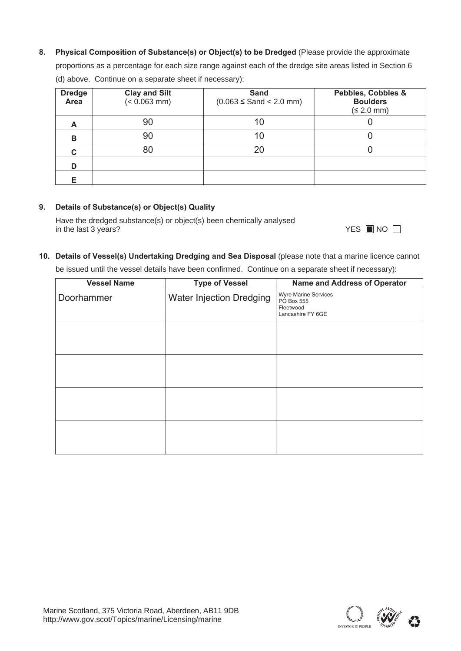**8. Physical Composition of Substance(s) or Object(s) to be Dredged** (Please provide the approximate

proportions as a percentage for each size range against each of the dredge site areas listed in Section 6 (d) above. Continue on a separate sheet if necessary):

| <b>Dredge</b><br>Area | <b>Clay and Silt</b><br>$(< 0.063$ mm) | <b>Sand</b><br>$(0.063 \leq$ Sand $<$ 2.0 mm) | Pebbles, Cobbles &<br><b>Boulders</b><br>(≤ 2.0 mm) |
|-----------------------|----------------------------------------|-----------------------------------------------|-----------------------------------------------------|
| A                     | 90                                     | 10                                            |                                                     |
| в                     | 90                                     | 10                                            |                                                     |
| С                     | 80                                     | 20                                            |                                                     |
| D                     |                                        |                                               |                                                     |
| Е                     |                                        |                                               |                                                     |

# **9. Details of Substance(s) or Object(s) Quality**

Have the dredged substance(s) or object(s) been chemically analysed in the last 3 years?

|  |  | III NO |  |
|--|--|--------|--|
|--|--|--------|--|

# **10. Details of Vessel(s) Undertaking Dredging and Sea Disposal** (please note that a marine licence cannot

be issued until the vessel details have been confirmed. Continue on a separate sheet if necessary):

| <b>Vessel Name</b> | <b>Type of Vessel</b>    | Name and Address of Operator                                                |
|--------------------|--------------------------|-----------------------------------------------------------------------------|
| Doorhammer         | Water Injection Dredging | <b>Wyre Marine Services</b><br>PO Box 555<br>Fleetwood<br>Lancashire FY 6GE |
|                    |                          |                                                                             |
|                    |                          |                                                                             |
|                    |                          |                                                                             |
|                    |                          |                                                                             |

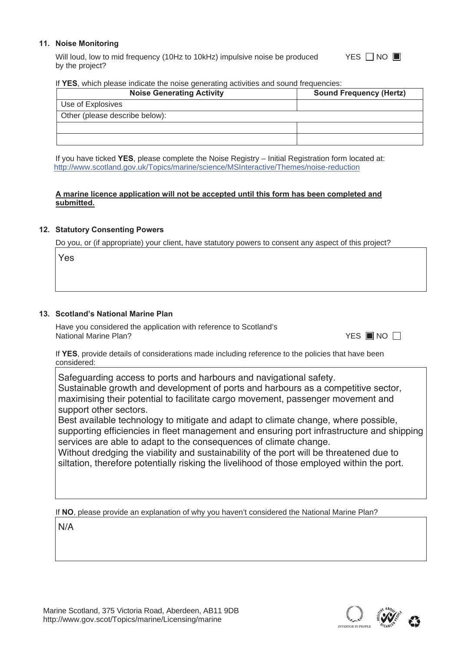# **11. Noise Monitoring**

Will loud, low to mid frequency (10Hz to 10kHz) impulsive noise be produced by the project? YES □ NO ■

#### If **YES**, which please indicate the noise generating activities and sound frequencies:

| <b>Noise Generating Activity</b> | <b>Sound Frequency (Hertz)</b> |
|----------------------------------|--------------------------------|
| Use of Explosives                |                                |
| Other (please describe below):   |                                |
|                                  |                                |
|                                  |                                |

If you have ticked **YES**, please complete the Noise Registry – Initial Registration form located at: http://www.scotland.gov.uk/Topics/marine/science/MSInteractive/Themes/noise-reduction

# **A marine licence application will not be accepted until this form has been completed and submitted.**

# **12. Statutory Consenting Powers**

Do you, or (if appropriate) your client, have statutory powers to consent any aspect of this project?

Yes

# **13. Scotland's National Marine Plan**

Have you considered the application with reference to Scotland's **National Marine Plan?** 

YES ■NO

If **YES**, provide details of considerations made including reference to the policies that have been considered:

Safeguarding access to ports and harbours and navigational safety. Sustainable growth and development of ports and harbours as a competitive sector, maximising their potential to facilitate cargo movement, passenger movement and support other sectors.

Best available technology to mitigate and adapt to climate change, where possible, supporting efficiencies in fleet management and ensuring port infrastructure and shipping services are able to adapt to the consequences of climate change.

Without dredging the viability and sustainability of the port will be threatened due to siltation, therefore potentially risking the livelihood of those employed within the port.

If **NO**, please provide an explanation of why you haven't considered the National Marine Plan?

N/A